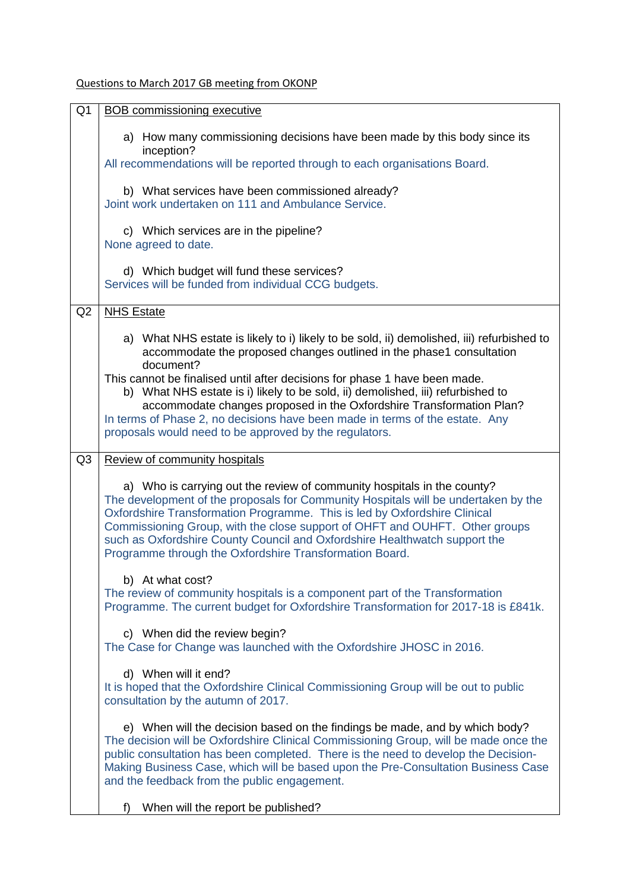## Questions to March 2017 GB meeting from OKONP

| Q <sub>1</sub> | <b>BOB</b> commissioning executive                                                                                                                                                                                                                                                                                                                                                                                                                                 |
|----------------|--------------------------------------------------------------------------------------------------------------------------------------------------------------------------------------------------------------------------------------------------------------------------------------------------------------------------------------------------------------------------------------------------------------------------------------------------------------------|
|                | a) How many commissioning decisions have been made by this body since its<br>inception?                                                                                                                                                                                                                                                                                                                                                                            |
|                | All recommendations will be reported through to each organisations Board.                                                                                                                                                                                                                                                                                                                                                                                          |
|                | b) What services have been commissioned already?                                                                                                                                                                                                                                                                                                                                                                                                                   |
|                | Joint work undertaken on 111 and Ambulance Service.                                                                                                                                                                                                                                                                                                                                                                                                                |
|                | c) Which services are in the pipeline?<br>None agreed to date.                                                                                                                                                                                                                                                                                                                                                                                                     |
|                |                                                                                                                                                                                                                                                                                                                                                                                                                                                                    |
|                | d) Which budget will fund these services?<br>Services will be funded from individual CCG budgets.                                                                                                                                                                                                                                                                                                                                                                  |
| Q2             | <b>NHS Estate</b>                                                                                                                                                                                                                                                                                                                                                                                                                                                  |
|                |                                                                                                                                                                                                                                                                                                                                                                                                                                                                    |
|                | a) What NHS estate is likely to i) likely to be sold, ii) demolished, iii) refurbished to<br>accommodate the proposed changes outlined in the phase1 consultation<br>document?                                                                                                                                                                                                                                                                                     |
|                | This cannot be finalised until after decisions for phase 1 have been made.                                                                                                                                                                                                                                                                                                                                                                                         |
|                | b) What NHS estate is i) likely to be sold, ii) demolished, iii) refurbished to<br>accommodate changes proposed in the Oxfordshire Transformation Plan?                                                                                                                                                                                                                                                                                                            |
|                | In terms of Phase 2, no decisions have been made in terms of the estate. Any                                                                                                                                                                                                                                                                                                                                                                                       |
|                | proposals would need to be approved by the regulators.                                                                                                                                                                                                                                                                                                                                                                                                             |
| Q <sub>3</sub> | Review of community hospitals                                                                                                                                                                                                                                                                                                                                                                                                                                      |
|                | a) Who is carrying out the review of community hospitals in the county?<br>The development of the proposals for Community Hospitals will be undertaken by the<br>Oxfordshire Transformation Programme. This is led by Oxfordshire Clinical<br>Commissioning Group, with the close support of OHFT and OUHFT. Other groups<br>such as Oxfordshire County Council and Oxfordshire Healthwatch support the<br>Programme through the Oxfordshire Transformation Board. |
|                | b) At what cost?                                                                                                                                                                                                                                                                                                                                                                                                                                                   |
|                | The review of community hospitals is a component part of the Transformation<br>Programme. The current budget for Oxfordshire Transformation for 2017-18 is £841k.                                                                                                                                                                                                                                                                                                  |
|                | c) When did the review begin?<br>The Case for Change was launched with the Oxfordshire JHOSC in 2016.                                                                                                                                                                                                                                                                                                                                                              |
|                | d) When will it end?<br>It is hoped that the Oxfordshire Clinical Commissioning Group will be out to public<br>consultation by the autumn of 2017.                                                                                                                                                                                                                                                                                                                 |
|                | e) When will the decision based on the findings be made, and by which body?<br>The decision will be Oxfordshire Clinical Commissioning Group, will be made once the<br>public consultation has been completed. There is the need to develop the Decision-<br>Making Business Case, which will be based upon the Pre-Consultation Business Case<br>and the feedback from the public engagement.                                                                     |
|                | When will the report be published?<br>t)                                                                                                                                                                                                                                                                                                                                                                                                                           |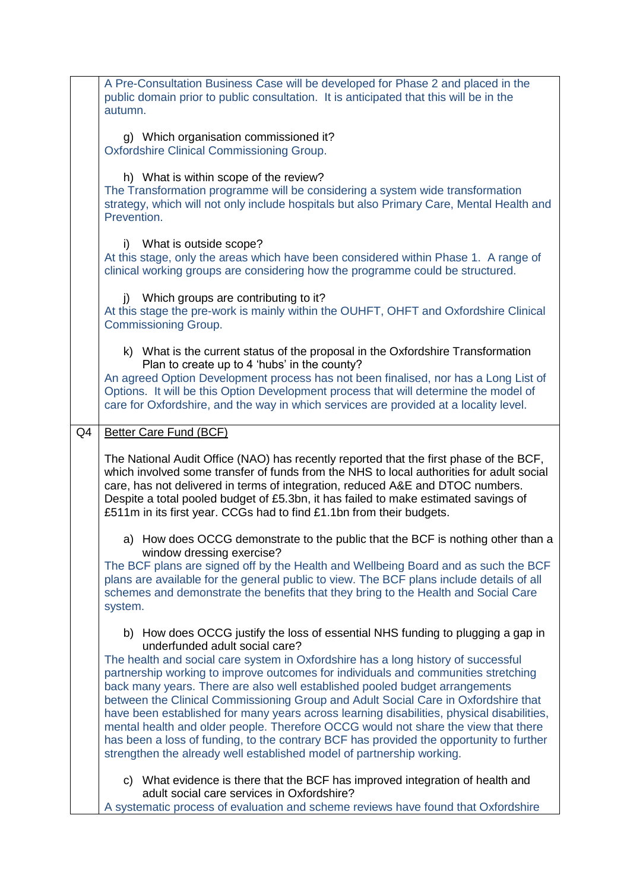| A Pre-Consultation Business Case will be developed for Phase 2 and placed in the<br>public domain prior to public consultation. It is anticipated that this will be in the<br>autumn.<br>g) Which organisation commissioned it?<br>Oxfordshire Clinical Commissioning Group.                                                                                                                                                        |  |
|-------------------------------------------------------------------------------------------------------------------------------------------------------------------------------------------------------------------------------------------------------------------------------------------------------------------------------------------------------------------------------------------------------------------------------------|--|
|                                                                                                                                                                                                                                                                                                                                                                                                                                     |  |
|                                                                                                                                                                                                                                                                                                                                                                                                                                     |  |
| h) What is within scope of the review?<br>The Transformation programme will be considering a system wide transformation<br>strategy, which will not only include hospitals but also Primary Care, Mental Health and<br>Prevention.                                                                                                                                                                                                  |  |
| i) What is outside scope?<br>At this stage, only the areas which have been considered within Phase 1. A range of<br>clinical working groups are considering how the programme could be structured.                                                                                                                                                                                                                                  |  |
| j) Which groups are contributing to it?<br>At this stage the pre-work is mainly within the OUHFT, OHFT and Oxfordshire Clinical<br><b>Commissioning Group.</b>                                                                                                                                                                                                                                                                      |  |
| k) What is the current status of the proposal in the Oxfordshire Transformation                                                                                                                                                                                                                                                                                                                                                     |  |
| Plan to create up to 4 'hubs' in the county?                                                                                                                                                                                                                                                                                                                                                                                        |  |
| An agreed Option Development process has not been finalised, nor has a Long List of<br>Options. It will be this Option Development process that will determine the model of                                                                                                                                                                                                                                                         |  |
| care for Oxfordshire, and the way in which services are provided at a locality level.                                                                                                                                                                                                                                                                                                                                               |  |
| Q4<br><b>Better Care Fund (BCF)</b>                                                                                                                                                                                                                                                                                                                                                                                                 |  |
| The National Audit Office (NAO) has recently reported that the first phase of the BCF,<br>which involved some transfer of funds from the NHS to local authorities for adult social<br>care, has not delivered in terms of integration, reduced A&E and DTOC numbers.<br>Despite a total pooled budget of £5.3bn, it has failed to make estimated savings of<br>£511m in its first year. CCGs had to find £1.1bn from their budgets. |  |
| a) How does OCCG demonstrate to the public that the BCF is nothing other than a                                                                                                                                                                                                                                                                                                                                                     |  |
| window dressing exercise?<br>The BCF plans are signed off by the Health and Wellbeing Board and as such the BCF                                                                                                                                                                                                                                                                                                                     |  |
| plans are available for the general public to view. The BCF plans include details of all<br>schemes and demonstrate the benefits that they bring to the Health and Social Care<br>system.                                                                                                                                                                                                                                           |  |
| b) How does OCCG justify the loss of essential NHS funding to plugging a gap in<br>underfunded adult social care?                                                                                                                                                                                                                                                                                                                   |  |
| The health and social care system in Oxfordshire has a long history of successful                                                                                                                                                                                                                                                                                                                                                   |  |
| partnership working to improve outcomes for individuals and communities stretching<br>back many years. There are also well established pooled budget arrangements                                                                                                                                                                                                                                                                   |  |
| between the Clinical Commissioning Group and Adult Social Care in Oxfordshire that                                                                                                                                                                                                                                                                                                                                                  |  |
| have been established for many years across learning disabilities, physical disabilities,<br>mental health and older people. Therefore OCCG would not share the view that there                                                                                                                                                                                                                                                     |  |
| has been a loss of funding, to the contrary BCF has provided the opportunity to further<br>strengthen the already well established model of partnership working.                                                                                                                                                                                                                                                                    |  |
| c) What evidence is there that the BCF has improved integration of health and                                                                                                                                                                                                                                                                                                                                                       |  |
| adult social care services in Oxfordshire?<br>A systematic process of evaluation and scheme reviews have found that Oxfordshire                                                                                                                                                                                                                                                                                                     |  |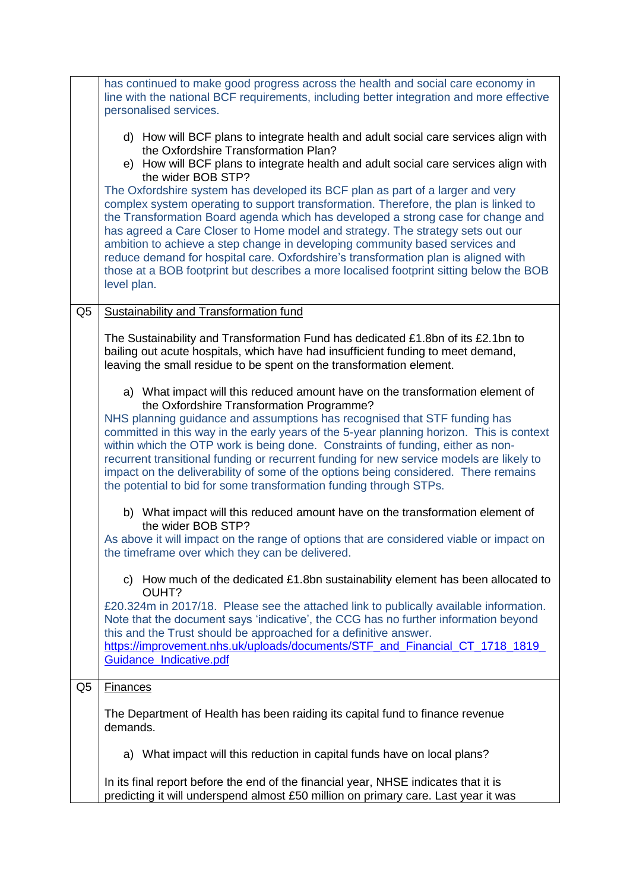|                | has continued to make good progress across the health and social care economy in<br>line with the national BCF requirements, including better integration and more effective<br>personalised services.                                                                                                                                                                                                                                                                                                                                                                                                                       |
|----------------|------------------------------------------------------------------------------------------------------------------------------------------------------------------------------------------------------------------------------------------------------------------------------------------------------------------------------------------------------------------------------------------------------------------------------------------------------------------------------------------------------------------------------------------------------------------------------------------------------------------------------|
|                | d) How will BCF plans to integrate health and adult social care services align with<br>the Oxfordshire Transformation Plan?<br>e) How will BCF plans to integrate health and adult social care services align with<br>the wider BOB STP?                                                                                                                                                                                                                                                                                                                                                                                     |
|                | The Oxfordshire system has developed its BCF plan as part of a larger and very<br>complex system operating to support transformation. Therefore, the plan is linked to<br>the Transformation Board agenda which has developed a strong case for change and<br>has agreed a Care Closer to Home model and strategy. The strategy sets out our<br>ambition to achieve a step change in developing community based services and<br>reduce demand for hospital care. Oxfordshire's transformation plan is aligned with<br>those at a BOB footprint but describes a more localised footprint sitting below the BOB<br>level plan. |
| Q <sub>5</sub> | <b>Sustainability and Transformation fund</b>                                                                                                                                                                                                                                                                                                                                                                                                                                                                                                                                                                                |
|                | The Sustainability and Transformation Fund has dedicated £1.8bn of its £2.1bn to<br>bailing out acute hospitals, which have had insufficient funding to meet demand,<br>leaving the small residue to be spent on the transformation element.                                                                                                                                                                                                                                                                                                                                                                                 |
|                | a) What impact will this reduced amount have on the transformation element of<br>the Oxfordshire Transformation Programme?                                                                                                                                                                                                                                                                                                                                                                                                                                                                                                   |
|                | NHS planning guidance and assumptions has recognised that STF funding has<br>committed in this way in the early years of the 5-year planning horizon. This is context<br>within which the OTP work is being done. Constraints of funding, either as non-<br>recurrent transitional funding or recurrent funding for new service models are likely to<br>impact on the deliverability of some of the options being considered. There remains<br>the potential to bid for some transformation funding through STPs.                                                                                                            |
|                | b) What impact will this reduced amount have on the transformation element of<br>the wider BOB STP?                                                                                                                                                                                                                                                                                                                                                                                                                                                                                                                          |
|                | As above it will impact on the range of options that are considered viable or impact on<br>the timeframe over which they can be delivered.                                                                                                                                                                                                                                                                                                                                                                                                                                                                                   |
|                | c) How much of the dedicated £1.8bn sustainability element has been allocated to<br>OUHT?                                                                                                                                                                                                                                                                                                                                                                                                                                                                                                                                    |
|                | £20.324m in 2017/18. Please see the attached link to publically available information.<br>Note that the document says 'indicative', the CCG has no further information beyond<br>this and the Trust should be approached for a definitive answer.                                                                                                                                                                                                                                                                                                                                                                            |
|                | https://improvement.nhs.uk/uploads/documents/STF_and_Financial_CT_1718_1819_<br>Guidance_Indicative.pdf                                                                                                                                                                                                                                                                                                                                                                                                                                                                                                                      |
| Q5             | <b>Finances</b>                                                                                                                                                                                                                                                                                                                                                                                                                                                                                                                                                                                                              |
|                | The Department of Health has been raiding its capital fund to finance revenue<br>demands.                                                                                                                                                                                                                                                                                                                                                                                                                                                                                                                                    |
|                | a) What impact will this reduction in capital funds have on local plans?                                                                                                                                                                                                                                                                                                                                                                                                                                                                                                                                                     |
|                | In its final report before the end of the financial year, NHSE indicates that it is<br>predicting it will underspend almost £50 million on primary care. Last year it was                                                                                                                                                                                                                                                                                                                                                                                                                                                    |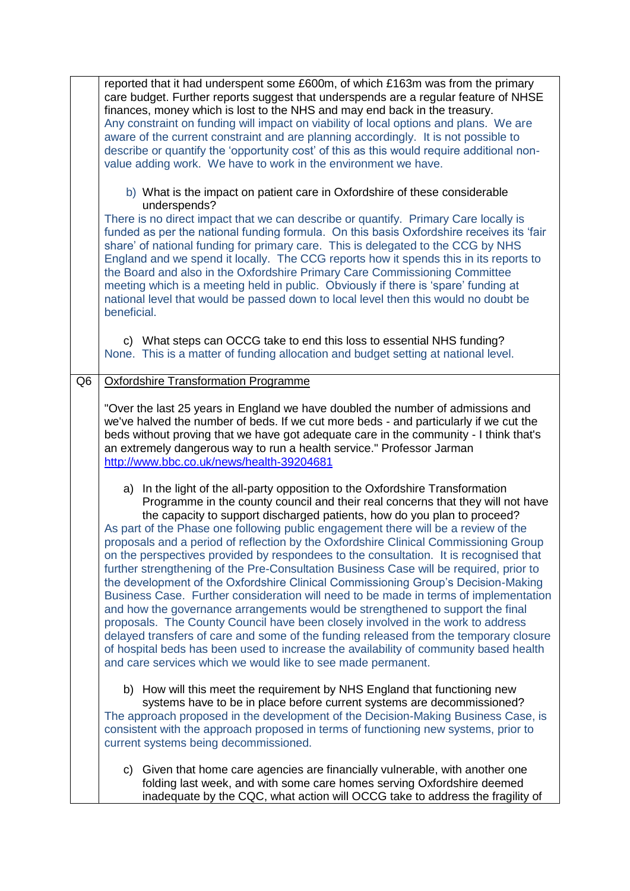|    | reported that it had underspent some £600m, of which £163m was from the primary<br>care budget. Further reports suggest that underspends are a regular feature of NHSE<br>finances, money which is lost to the NHS and may end back in the treasury.<br>Any constraint on funding will impact on viability of local options and plans. We are<br>aware of the current constraint and are planning accordingly. It is not possible to<br>describe or quantify the 'opportunity cost' of this as this would require additional non-<br>value adding work. We have to work in the environment we have.                                                                                                                                                                                                                                                                                                                                                                                                                                                                                                                                                                                                               |
|----|-------------------------------------------------------------------------------------------------------------------------------------------------------------------------------------------------------------------------------------------------------------------------------------------------------------------------------------------------------------------------------------------------------------------------------------------------------------------------------------------------------------------------------------------------------------------------------------------------------------------------------------------------------------------------------------------------------------------------------------------------------------------------------------------------------------------------------------------------------------------------------------------------------------------------------------------------------------------------------------------------------------------------------------------------------------------------------------------------------------------------------------------------------------------------------------------------------------------|
|    | b) What is the impact on patient care in Oxfordshire of these considerable<br>underspends?                                                                                                                                                                                                                                                                                                                                                                                                                                                                                                                                                                                                                                                                                                                                                                                                                                                                                                                                                                                                                                                                                                                        |
|    | There is no direct impact that we can describe or quantify. Primary Care locally is<br>funded as per the national funding formula. On this basis Oxfordshire receives its 'fair<br>share' of national funding for primary care. This is delegated to the CCG by NHS<br>England and we spend it locally. The CCG reports how it spends this in its reports to<br>the Board and also in the Oxfordshire Primary Care Commissioning Committee<br>meeting which is a meeting held in public. Obviously if there is 'spare' funding at<br>national level that would be passed down to local level then this would no doubt be<br>beneficial.                                                                                                                                                                                                                                                                                                                                                                                                                                                                                                                                                                           |
|    | c) What steps can OCCG take to end this loss to essential NHS funding?<br>None. This is a matter of funding allocation and budget setting at national level.                                                                                                                                                                                                                                                                                                                                                                                                                                                                                                                                                                                                                                                                                                                                                                                                                                                                                                                                                                                                                                                      |
| Q6 | <b>Oxfordshire Transformation Programme</b>                                                                                                                                                                                                                                                                                                                                                                                                                                                                                                                                                                                                                                                                                                                                                                                                                                                                                                                                                                                                                                                                                                                                                                       |
|    | "Over the last 25 years in England we have doubled the number of admissions and<br>we've halved the number of beds. If we cut more beds - and particularly if we cut the<br>beds without proving that we have got adequate care in the community - I think that's<br>an extremely dangerous way to run a health service." Professor Jarman<br>http://www.bbc.co.uk/news/health-39204681                                                                                                                                                                                                                                                                                                                                                                                                                                                                                                                                                                                                                                                                                                                                                                                                                           |
|    | a) In the light of the all-party opposition to the Oxfordshire Transformation<br>Programme in the county council and their real concerns that they will not have<br>the capacity to support discharged patients, how do you plan to proceed?<br>As part of the Phase one following public engagement there will be a review of the<br>proposals and a period of reflection by the Oxfordshire Clinical Commissioning Group<br>on the perspectives provided by respondees to the consultation. It is recognised that<br>further strengthening of the Pre-Consultation Business Case will be required, prior to<br>the development of the Oxfordshire Clinical Commissioning Group's Decision-Making<br>Business Case. Further consideration will need to be made in terms of implementation<br>and how the governance arrangements would be strengthened to support the final<br>proposals. The County Council have been closely involved in the work to address<br>delayed transfers of care and some of the funding released from the temporary closure<br>of hospital beds has been used to increase the availability of community based health<br>and care services which we would like to see made permanent. |
|    | b) How will this meet the requirement by NHS England that functioning new<br>systems have to be in place before current systems are decommissioned?<br>The approach proposed in the development of the Decision-Making Business Case, is<br>consistent with the approach proposed in terms of functioning new systems, prior to<br>current systems being decommissioned.                                                                                                                                                                                                                                                                                                                                                                                                                                                                                                                                                                                                                                                                                                                                                                                                                                          |
|    | c) Given that home care agencies are financially vulnerable, with another one<br>folding last week, and with some care homes serving Oxfordshire deemed<br>inadequate by the CQC, what action will OCCG take to address the fragility of                                                                                                                                                                                                                                                                                                                                                                                                                                                                                                                                                                                                                                                                                                                                                                                                                                                                                                                                                                          |